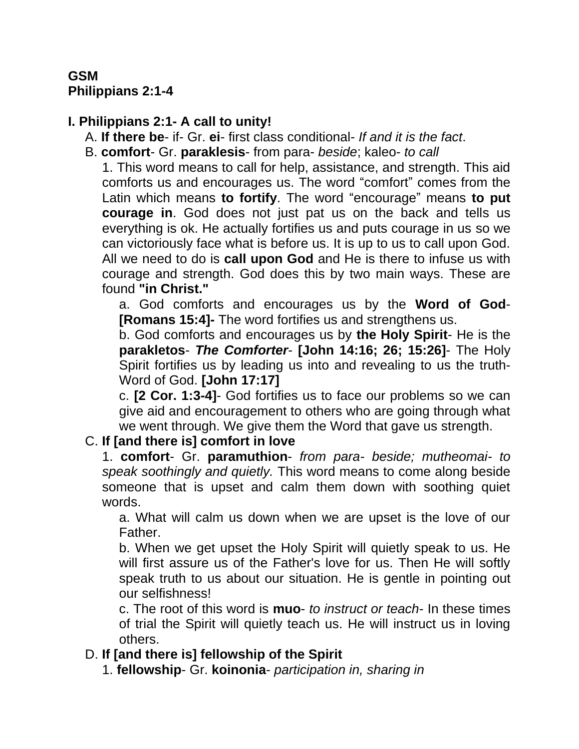#### **GSM Philippians 2:1-4**

## **I. Philippians 2:1- A call to unity!**

- A. **If there be** if- Gr. **ei** first class conditional- *If and it is the fact*.
- B. **comfort** Gr. **paraklesis** from para- *beside*; kaleo- *to call*

1. This word means to call for help, assistance, and strength. This aid comforts us and encourages us. The word "comfort" comes from the Latin which means **to fortify**. The word "encourage" means **to put courage in**. God does not just pat us on the back and tells us everything is ok. He actually fortifies us and puts courage in us so we can victoriously face what is before us. It is up to us to call upon God. All we need to do is **call upon God** and He is there to infuse us with courage and strength. God does this by two main ways. These are found **"in Christ."**

a. God comforts and encourages us by the **Word of God**- **[Romans 15:4]-** The word fortifies us and strengthens us.

b. God comforts and encourages us by **the Holy Spirit**- He is the **parakletos**- *The Comforter*- **[John 14:16; 26; 15:26]**- The Holy Spirit fortifies us by leading us into and revealing to us the truth-Word of God. **[John 17:17]**

c. **[2 Cor. 1:3-4]**- God fortifies us to face our problems so we can give aid and encouragement to others who are going through what we went through. We give them the Word that gave us strength.

# C. **If [and there is] comfort in love**

1. **comfort**- Gr. **paramuthion**- *from para- beside; mutheomai- to speak soothingly and quietly.* This word means to come along beside someone that is upset and calm them down with soothing quiet words.

a. What will calm us down when we are upset is the love of our Father.

b. When we get upset the Holy Spirit will quietly speak to us. He will first assure us of the Father's love for us. Then He will softly speak truth to us about our situation. He is gentle in pointing out our selfishness!

c. The root of this word is **muo**- *to instruct or teach*- In these times of trial the Spirit will quietly teach us. He will instruct us in loving others.

### D. **If [and there is] fellowship of the Spirit**

1. **fellowship**- Gr. **koinonia**- *participation in, sharing in*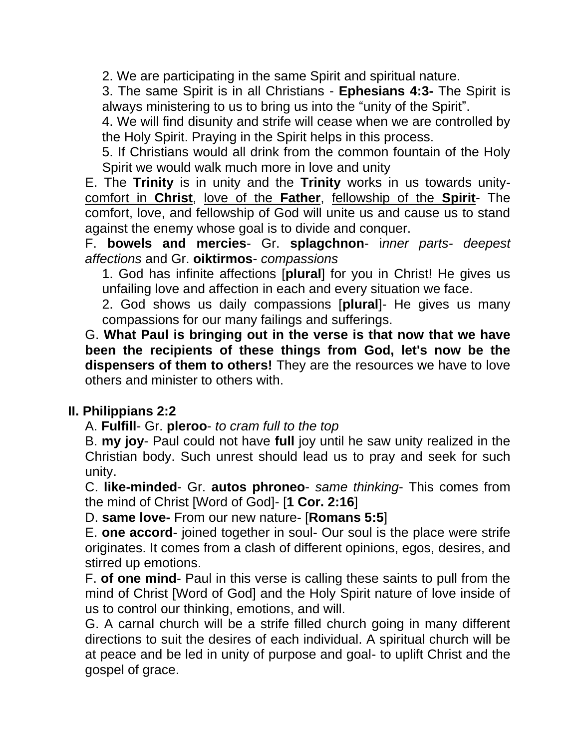2. We are participating in the same Spirit and spiritual nature.

3. The same Spirit is in all Christians - **Ephesians 4:3-** The Spirit is always ministering to us to bring us into the "unity of the Spirit".

4. We will find disunity and strife will cease when we are controlled by the Holy Spirit. Praying in the Spirit helps in this process.

5. If Christians would all drink from the common fountain of the Holy Spirit we would walk much more in love and unity

E. The **Trinity** is in unity and the **Trinity** works in us towards unitycomfort in **Christ**, love of the **Father**, fellowship of the **Spirit**- The comfort, love, and fellowship of God will unite us and cause us to stand against the enemy whose goal is to divide and conquer.

F. **bowels and mercies**- Gr. **splagchnon**- i*nner parts- deepest affections* and Gr. **oiktirmos**- *compassions*

1. God has infinite affections [**plural**] for you in Christ! He gives us unfailing love and affection in each and every situation we face.

2. God shows us daily compassions [**plural**]- He gives us many compassions for our many failings and sufferings.

G. **What Paul is bringing out in the verse is that now that we have been the recipients of these things from God, let's now be the dispensers of them to others!** They are the resources we have to love others and minister to others with.

### **II. Philippians 2:2**

A. **Fulfill**- Gr. **pleroo**- *to cram full to the top*

B. **my joy**- Paul could not have **full** joy until he saw unity realized in the Christian body. Such unrest should lead us to pray and seek for such unity.

C. **like-minded**- Gr. **autos phroneo**- *same thinking*- This comes from the mind of Christ [Word of God]- [**1 Cor. 2:16**]

D. **same love-** From our new nature- [**Romans 5:5**]

E. **one accord**- joined together in soul- Our soul is the place were strife originates. It comes from a clash of different opinions, egos, desires, and stirred up emotions.

F. **of one mind**- Paul in this verse is calling these saints to pull from the mind of Christ [Word of God] and the Holy Spirit nature of love inside of us to control our thinking, emotions, and will.

G. A carnal church will be a strife filled church going in many different directions to suit the desires of each individual. A spiritual church will be at peace and be led in unity of purpose and goal- to uplift Christ and the gospel of grace.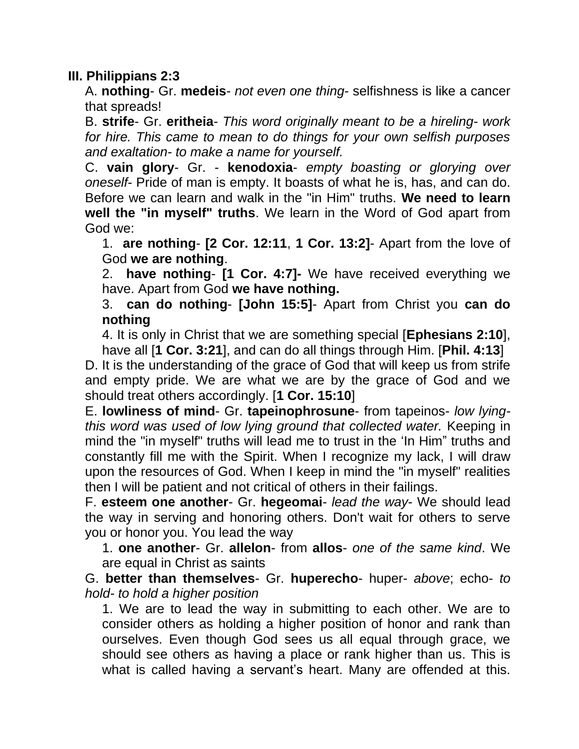#### **III. Philippians 2:3**

A. **nothing**- Gr. **medeis**- *not even one thing*- selfishness is like a cancer that spreads!

B. **strife**- Gr. **eritheia**- *This word originally meant to be a hireling- work for hire. This came to mean to do things for your own selfish purposes and exaltation- to make a name for yourself.*

C. **vain glory**- Gr. - **kenodoxia**- *empty boasting or glorying over oneself*- Pride of man is empty. It boasts of what he is, has, and can do. Before we can learn and walk in the "in Him" truths. **We need to learn well the "in myself" truths**. We learn in the Word of God apart from God we:

1. **are nothing**- **[2 Cor. 12:11**, **1 Cor. 13:2]**- Apart from the love of God **we are nothing**.

2. **have nothing**- **[1 Cor. 4:7]-** We have received everything we have. Apart from God **we have nothing.**

3. **can do nothing**- **[John 15:5]**- Apart from Christ you **can do nothing**

4. It is only in Christ that we are something special [**Ephesians 2:10**], have all [**1 Cor. 3:21**], and can do all things through Him. [**Phil. 4:13**]

D. It is the understanding of the grace of God that will keep us from strife and empty pride. We are what we are by the grace of God and we should treat others accordingly. [**1 Cor. 15:10**]

E. **lowliness of mind**- Gr. **tapeinophrosune**- from tapeinos- *low lyingthis word was used of low lying ground that collected water.* Keeping in mind the "in myself" truths will lead me to trust in the "In Him" truths and constantly fill me with the Spirit. When I recognize my lack, I will draw upon the resources of God. When I keep in mind the "in myself" realities then I will be patient and not critical of others in their failings.

F. **esteem one another**- Gr. **hegeomai**- *lead the way*- We should lead the way in serving and honoring others. Don't wait for others to serve you or honor you. You lead the way

1. **one another**- Gr. **allelon**- from **allos**- *one of the same kind*. We are equal in Christ as saints

G. **better than themselves**- Gr. **huperecho**- huper- *above*; echo- *to hold- to hold a higher position*

1. We are to lead the way in submitting to each other. We are to consider others as holding a higher position of honor and rank than ourselves. Even though God sees us all equal through grace, we should see others as having a place or rank higher than us. This is what is called having a servant's heart. Many are offended at this.